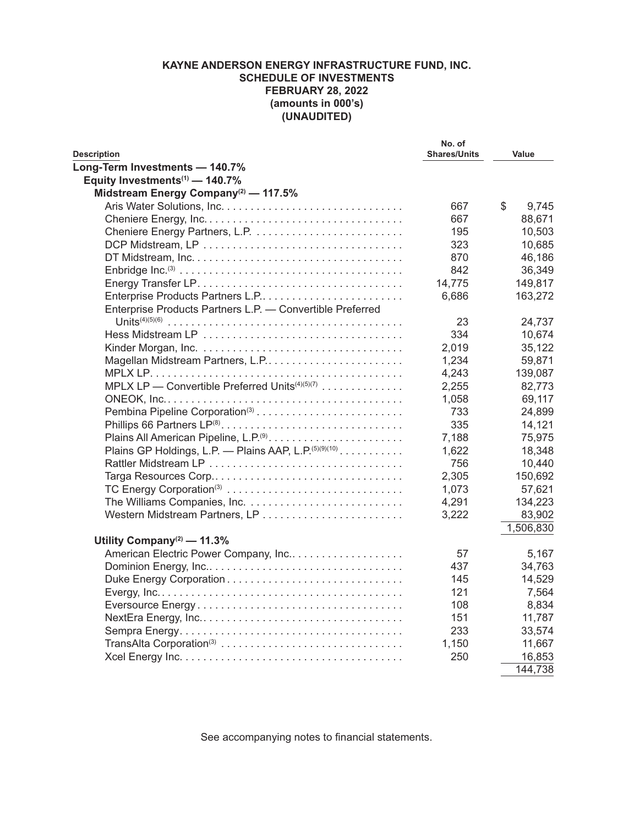## **KAYNE ANDERSON ENERGY INFRASTRUCTURE FUND, INC. SCHEDULE OF INVESTMENTS FEBRUARY 28, 2022 (amounts in 000's) (UNAUDITED)**

| <b>Description</b>                                                | No. of<br><b>Shares/Units</b> | Value       |
|-------------------------------------------------------------------|-------------------------------|-------------|
| Long-Term Investments - 140.7%                                    |                               |             |
| Equity Investments <sup>(1)</sup> - 140.7%                        |                               |             |
| Midstream Energy Company <sup>(2)</sup> - 117.5%                  |                               |             |
|                                                                   | 667                           | \$<br>9,745 |
|                                                                   | 667                           | 88,671      |
|                                                                   | 195                           | 10,503      |
|                                                                   | 323                           | 10,685      |
|                                                                   | 870                           | 46,186      |
|                                                                   | 842                           | 36,349      |
|                                                                   | 14,775                        | 149,817     |
|                                                                   | 6,686                         | 163,272     |
| Enterprise Products Partners L.P. - Convertible Preferred         |                               |             |
|                                                                   | 23                            | 24,737      |
|                                                                   | 334                           | 10,674      |
|                                                                   | 2,019                         | 35,122      |
|                                                                   | 1,234                         | 59,871      |
|                                                                   | 4,243                         | 139,087     |
| MPLX LP - Convertible Preferred Units <sup>(4)(5)(7)</sup>        | 2,255                         | 82,773      |
|                                                                   | 1,058                         | 69,117      |
|                                                                   | 733                           | 24,899      |
|                                                                   | 335                           | 14,121      |
| Plains All American Pipeline, L.P. <sup>(9)</sup>                 | 7,188                         | 75,975      |
| Plains GP Holdings, L.P. - Plains AAP, L.P. <sup>(5)(9)(10)</sup> | 1,622                         | 18,348      |
|                                                                   | 756                           | 10,440      |
| Targa Resources Corp                                              | 2,305                         | 150,692     |
| TC Energy Corporation <sup>(3)</sup>                              | 1,073                         | 57,621      |
|                                                                   | 4,291                         | 134,223     |
|                                                                   | 3,222                         | 83,902      |
|                                                                   |                               | 1,506,830   |
| Utility Company <sup>(2)</sup> - 11.3%                            |                               |             |
| American Electric Power Company, Inc                              | 57                            | 5,167       |
|                                                                   | 437                           | 34,763      |
|                                                                   | 145                           | 14,529      |
|                                                                   | 121                           | 7,564       |
|                                                                   | 108                           | 8,834       |
|                                                                   | 151                           | 11,787      |
|                                                                   | 233                           | 33,574      |
|                                                                   | 1,150                         | 11,667      |
|                                                                   | 250                           | 16,853      |
|                                                                   |                               | 144,738     |

See accompanying notes to financial statements.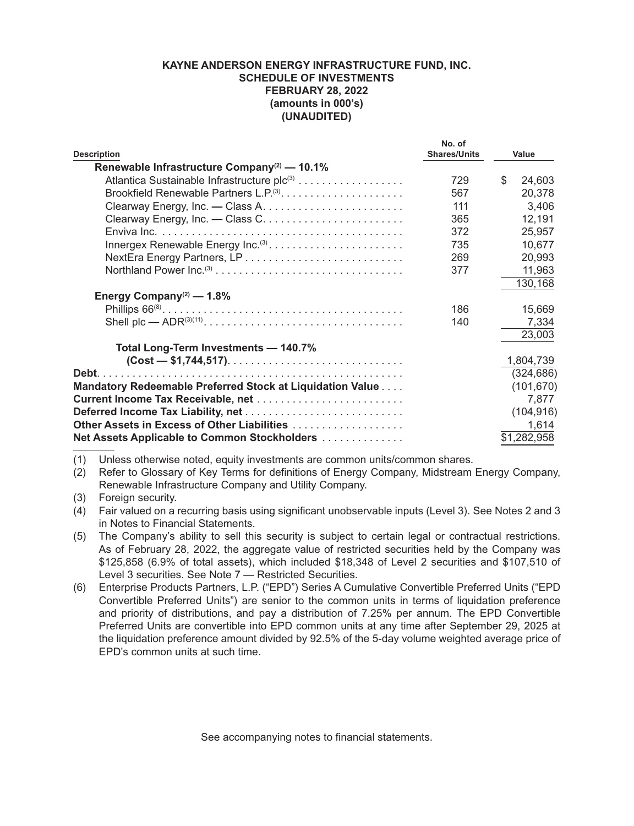## **KAYNE ANDERSON ENERGY INFRASTRUCTURE FUND, INC. SCHEDULE OF INVESTMENTS FEBRUARY 28, 2022 (amounts in 000's) (UNAUDITED)**

|                                                           | No. of              |              |
|-----------------------------------------------------------|---------------------|--------------|
| <b>Description</b>                                        | <b>Shares/Units</b> | Value        |
| Renewable Infrastructure Company <sup>(2)</sup> — 10.1%   |                     |              |
|                                                           | 729                 | \$<br>24,603 |
|                                                           | 567                 | 20,378       |
|                                                           | 111                 | 3,406        |
|                                                           | 365                 | 12,191       |
|                                                           | 372                 | 25,957       |
| Innergex Renewable Energy Inc. <sup>(3)</sup>             | 735                 | 10,677       |
|                                                           | 269                 | 20,993       |
|                                                           | 377                 | 11,963       |
|                                                           |                     | 130,168      |
| Energy Company <sup>(2)</sup> — $1.8\%$                   |                     |              |
|                                                           | 186                 | 15,669       |
|                                                           | 140                 | 7,334        |
|                                                           |                     | 23,003       |
| Total Long-Term Investments - 140.7%                      |                     |              |
|                                                           |                     | 1,804,739    |
|                                                           |                     | (324, 686)   |
| Mandatory Redeemable Preferred Stock at Liquidation Value |                     | (101, 670)   |
| Current Income Tax Receivable, net                        |                     | 7,877        |
|                                                           |                     | (104, 916)   |
| Other Assets in Excess of Other Liabilities               |                     | 1,614        |
| Net Assets Applicable to Common Stockholders              |                     | \$1,282,958  |

(1) Unless otherwise noted, equity investments are common units/common shares.

(2) Refer to Glossary of Key Terms for definitions of Energy Company, Midstream Energy Company, Renewable Infrastructure Company and Utility Company.

(3) Foreign security.

(4) Fair valued on a recurring basis using significant unobservable inputs (Level 3). See Notes 2 and 3 in Notes to Financial Statements.

- (5) The Company's ability to sell this security is subject to certain legal or contractual restrictions. As of February 28, 2022, the aggregate value of restricted securities held by the Company was \$125,858 (6.9% of total assets), which included \$18,348 of Level 2 securities and \$107,510 of Level 3 securities. See Note 7 — Restricted Securities.
- (6) Enterprise Products Partners, L.P. ("EPD") Series A Cumulative Convertible Preferred Units ("EPD Convertible Preferred Units") are senior to the common units in terms of liquidation preference and priority of distributions, and pay a distribution of 7.25% per annum. The EPD Convertible Preferred Units are convertible into EPD common units at any time after September 29, 2025 at the liquidation preference amount divided by 92.5% of the 5-day volume weighted average price of EPD's common units at such time.

See accompanying notes to financial statements.